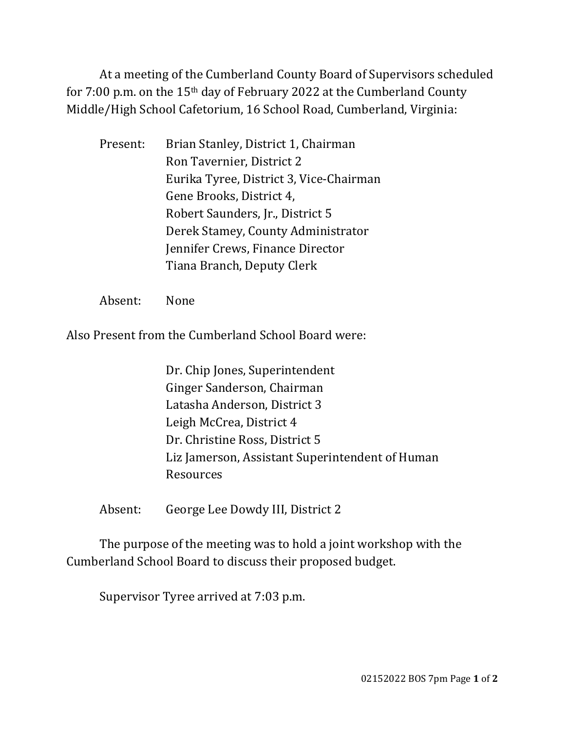At a meeting of the Cumberland County Board of Supervisors scheduled for 7:00 p.m. on the 15th day of February 2022 at the Cumberland County Middle/High School Cafetorium, 16 School Road, Cumberland, Virginia:

| Brian Stanley, District 1, Chairman     |
|-----------------------------------------|
| Ron Tavernier, District 2               |
| Eurika Tyree, District 3, Vice-Chairman |
| Gene Brooks, District 4,                |
| Robert Saunders, Jr., District 5        |
| Derek Stamey, County Administrator      |
| Jennifer Crews, Finance Director        |
| Tiana Branch, Deputy Clerk              |
|                                         |

Absent: None

Also Present from the Cumberland School Board were:

Dr. Chip Jones, Superintendent Ginger Sanderson, Chairman Latasha Anderson, District 3 Leigh McCrea, District 4 Dr. Christine Ross, District 5 Liz Jamerson, Assistant Superintendent of Human Resources

Absent: George Lee Dowdy III, District 2

The purpose of the meeting was to hold a joint workshop with the Cumberland School Board to discuss their proposed budget.

Supervisor Tyree arrived at 7:03 p.m.